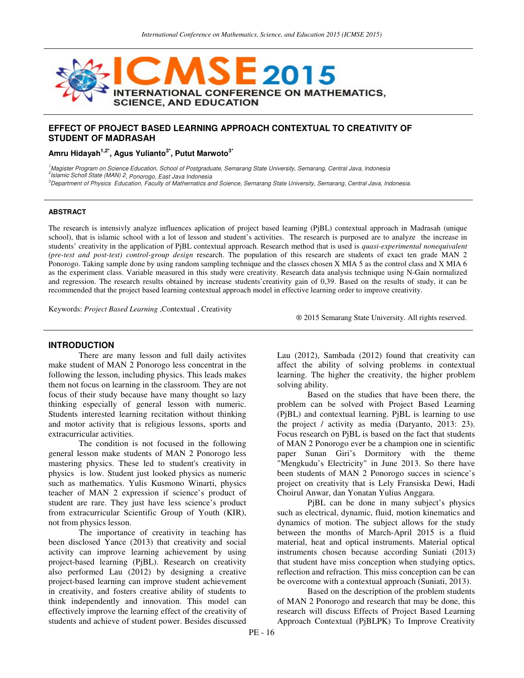

## **EFFECT OF PROJECT BASED LEARNING APPROACH CONTEXTUAL TO CREATIVITY OF STUDENT OF MADRASAH**

**Amru Hidayah1,2\*, Agus Yulianto3\*, Putut Marwoto3\***

1<sub>,</sub>Magister Program on Science Education, School of Postgraduate, Semarang State University, Semarang, Central Java, Indonesia 2 Islamic Scholl State (MAN) 2, Ponorogo, East Java Indonesia

<sup>3</sup>Department of Physics Education, Faculty of Mathematics and Science, Semarang State University, Semarang, Central Java, Indonesia.

#### **ABSTRACT**

The research is intensivly analyze influences aplication of project based learning (PjBL) contextual approach in Madrasah (unique school), that is islamic school with a lot of lesson and student's activities. The research is purposed are to analyze the increase in students' creativity in the application of PjBL contextual approach. Research method that is used is *quasi-experimental nonequivalent (pre-test and post-test) control-group design* research. The population of this research are students of exact ten grade MAN 2 Ponorogo. Taking sample done by using random sampling technique and the classes chosen X MIA 5 as the control class and X MIA 6 as the experiment class. Variable measured in this study were creativity. Research data analysis technique using N-Gain normalized and regression. The research results obtained by increase students'creativity gain of 0,39. Based on the results of study, it can be recommended that the project based learning contextual approach model in effective learning order to improve creativity.

Keywords: *Project Based Learning* ,Contextual , Creativity

® 2015 Semarang State University. All rights reserved.

#### **INTRODUCTION**

There are many lesson and full daily activites make student of MAN 2 Ponorogo less concentrat in the following the lesson, including physics. This leads makes them not focus on learning in the classroom. They are not focus of their study because have many thought so lazy thinking especially of general lesson with numeric. Students interested learning recitation without thinking and motor activity that is religious lessons, sports and extracurricular activities.

The condition is not focused in the following general lesson make students of MAN 2 Ponorogo less mastering physics. These led to student's creativity in physics is low. Student just looked physics as numeric such as mathematics. Yulis Kusmono Winarti, physics teacher of MAN 2 expression if science's product of student are rare. They just have less science's product from extracurricular Scientific Group of Youth (KIR), not from physics lesson.

The importance of creativity in teaching has been disclosed Yance (2013) that creativity and social activity can improve learning achievement by using project-based learning (PjBL). Research on creativity also performed Lau (2012) by designing a creative project-based learning can improve student achievement in creativity, and fosters creative ability of students to think independently and innovation. This model can effectively improve the learning effect of the creativity of students and achieve of student power. Besides discussed

Lau (2012), Sambada (2012) found that creativity can affect the ability of solving problems in contextual learning. The higher the creativity, the higher problem solving ability.

Based on the studies that have been there, the problem can be solved with Project Based Learning (PjBL) and contextual learning. PjBL is learning to use the project / activity as media (Daryanto, 2013: 23). Focus research on PjBL is based on the fact that students of MAN 2 Ponorogo ever be a champion one in scientific paper Sunan Giri's Dormitory with the theme "Mengkudu's Electricity" in June 2013. So there have been students of MAN 2 Ponorogo succes in science's project on creativity that is Lely Fransiska Dewi, Hadi Choirul Anwar, dan Yonatan Yulius Anggara.

PjBL can be done in many subject's physics such as electrical, dynamic, fluid, motion kinematics and dynamics of motion. The subject allows for the study between the months of March-April 2015 is a fluid material, heat and optical instruments. Material optical instruments chosen because according Suniati (2013) that student have miss conception when studying optics, reflection and refraction. This miss conception can be can be overcome with a contextual approach (Suniati, 2013).

Based on the description of the problem students of MAN 2 Ponorogo and research that may be done, this research will discuss Effects of Project Based Learning Approach Contextual (PjBLPK) To Improve Creativity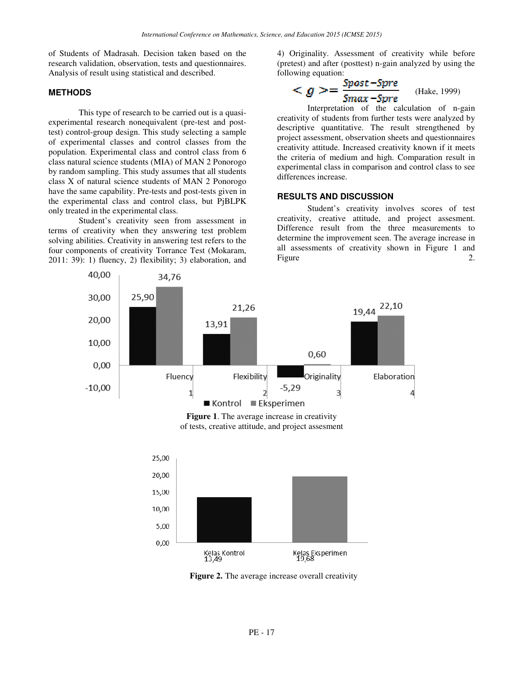of Students of Madrasah. Decision taken based on the research validation, observation, tests and questionnaires. Analysis of result using statistical and described.

#### **METHODS**

This type of research to be carried out is a quasiexperimental research nonequivalent (pre-test and posttest) control-group design. This study selecting a sample of experimental classes and control classes from the population. Experimental class and control class from 6 class natural science students (MIA) of MAN 2 Ponorogo by random sampling. This study assumes that all students class X of natural science students of MAN 2 Ponorogo have the same capability. Pre-tests and post-tests given in the experimental class and control class, but PjBLPK only treated in the experimental class.

Student's creativity seen from assessment in terms of creativity when they answering test problem solving abilities. Creativity in answering test refers to the four components of creativity Torrance Test (Mokaram, 2011: 39): 1) fluency, 2) flexibility; 3) elaboration, and 4) Originality. Assessment of creativity while before (pretest) and after (posttest) n-gain analyzed by using the following equation:

$$
\langle g \rangle = \frac{Spost - Spre}{Smax - Spre} \q (Hake, 1999)
$$

Interpretation of the calculation of n-gain creativity of students from further tests were analyzed by descriptive quantitative. The result strengthened by project assessment, observation sheets and questionnaires creativity attitude. Increased creativity known if it meets the criteria of medium and high. Comparation result in experimental class in comparison and control class to see differences increase.

#### **RESULTS AND DISCUSSION**

Student's creativity involves scores of test creativity, creative attitude, and project assesment. Difference result from the three measurements to determine the improvement seen. The average increase in all assessments of creativity shown in Figure 1 and Figure 2.



**Figure 1**. The average increase in creativity of tests, creative attitude, and project assesment



**Figure 2.** The average increase overall creativity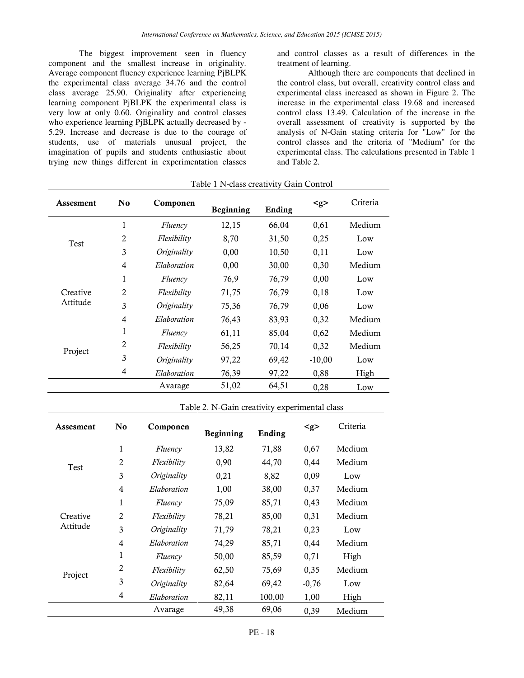The biggest improvement seen in fluency component and the smallest increase in originality. Average component fluency experience learning PjBLPK the experimental class average 34.76 and the control class average 25.90. Originality after experiencing learning component PjBLPK the experimental class is very low at only 0.60. Originality and control classes who experience learning PjBLPK actually decreased by - 5.29. Increase and decrease is due to the courage of students, use of materials unusual project, the imagination of pupils and students enthusiastic about trying new things different in experimentation classes

and control classes as a result of differences in the treatment of learning.

Although there are components that declined in the control class, but overall, creativity control class and experimental class increased as shown in Figure 2. The increase in the experimental class 19.68 and increased control class 13.49. Calculation of the increase in the overall assessment of creativity is supported by the analysis of N-Gain stating criteria for "Low" for the control classes and the criteria of "Medium" for the experimental class. The calculations presented in Table 1 and Table 2.

| Assesment            | No             | Componen           | <b>Beginning</b> | Ending | < g >    | Criteria |
|----------------------|----------------|--------------------|------------------|--------|----------|----------|
| Test                 | $\mathbf{1}$   | Fluency            | 12,15            | 66,04  | 0,61     | Medium   |
|                      | $\overline{2}$ | <i>Flexibility</i> | 8,70             | 31,50  | 0,25     | Low      |
|                      | 3              | Originality        | 0,00             | 10,50  | 0,11     | Low      |
|                      | 4              | Elaboration        | 0,00             | 30,00  | 0,30     | Medium   |
| Creative<br>Attitude | 1              | Fluency            | 76,9             | 76,79  | 0,00     | Low      |
|                      | 2              | <i>Flexibility</i> | 71,75            | 76,79  | 0,18     | Low      |
|                      | 3              | Originality        | 75,36            | 76,79  | 0,06     | Low      |
|                      | 4              | Elaboration        | 76,43            | 83,93  | 0,32     | Medium   |
| Project              | 1              | Fluency            | 61,11            | 85,04  | 0,62     | Medium   |
|                      | 2              | <i>Flexibility</i> | 56,25            | 70,14  | 0,32     | Medium   |
|                      | 3              | Originality        | 97,22            | 69,42  | $-10,00$ | Low      |
|                      | 4              | Elaboration        | 76,39            | 97,22  | 0,88     | High     |
|                      |                | Avarage            | 51,02            | 64,51  | 0,28     | Low      |

## Table 1 N-class creativity Gain Control

| Table 2. N-Gain creativity experimental class |
|-----------------------------------------------|
|-----------------------------------------------|

| Assesment            | N <sub>0</sub> | Componen           | Beginning | Ending | < g >   | Criteria |
|----------------------|----------------|--------------------|-----------|--------|---------|----------|
| Test                 | 1              | Fluency            | 13,82     | 71,88  | 0,67    | Medium   |
|                      | 2              | Flexibility        | 0,90      | 44,70  | 0,44    | Medium   |
|                      | 3              | Originality        | 0,21      | 8,82   | 0,09    | Low      |
|                      | 4              | Elaboration        | 1,00      | 38,00  | 0,37    | Medium   |
| Creative<br>Attitude | 1              | Fluency            | 75,09     | 85,71  | 0,43    | Medium   |
|                      | $\overline{2}$ | <i>Flexibility</i> | 78,21     | 85,00  | 0,31    | Medium   |
|                      | 3              | Originality        | 71,79     | 78,21  | 0,23    | Low      |
|                      | 4              | Elaboration        | 74,29     | 85,71  | 0,44    | Medium   |
| Project              | 1              | Fluency            | 50,00     | 85,59  | 0,71    | High     |
|                      | 2              | Flexibility        | 62,50     | 75,69  | 0,35    | Medium   |
|                      | 3              | Originality        | 82,64     | 69,42  | $-0,76$ | Low      |
|                      | 4              | Elaboration        | 82,11     | 100,00 | 1,00    | High     |
|                      |                | Avarage            | 49,38     | 69,06  | 0,39    | Medium   |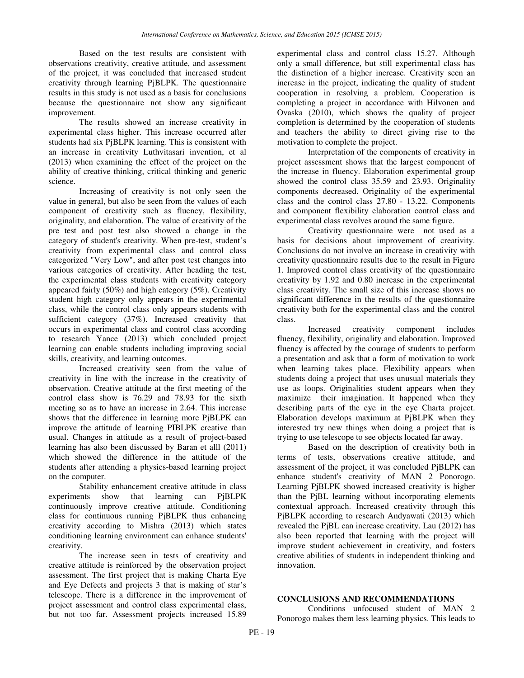Based on the test results are consistent with observations creativity, creative attitude, and assessment of the project, it was concluded that increased student creativity through learning PjBLPK. The questionnaire results in this study is not used as a basis for conclusions because the questionnaire not show any significant improvement.

The results showed an increase creativity in experimental class higher. This increase occurred after students had six PjBLPK learning. This is consistent with an increase in creativity Luthvitasari invention, et al (2013) when examining the effect of the project on the ability of creative thinking, critical thinking and generic science.

Increasing of creativity is not only seen the value in general, but also be seen from the values of each component of creativity such as fluency, flexibility, originality, and elaboration. The value of creativity of the pre test and post test also showed a change in the category of student's creativity. When pre-test, student's creativity from experimental class and control class categorized "Very Low", and after post test changes into various categories of creativity. After heading the test, the experimental class students with creativity category appeared fairly (50%) and high category (5%). Creativity student high category only appears in the experimental class, while the control class only appears students with sufficient category (37%). Increased creativity that occurs in experimental class and control class according to research Yance (2013) which concluded project learning can enable students including improving social skills, creativity, and learning outcomes.

Increased creativity seen from the value of creativity in line with the increase in the creativity of observation. Creative attitude at the first meeting of the control class show is 76.29 and 78.93 for the sixth meeting so as to have an increase in 2.64. This increase shows that the difference in learning more PjBLPK can improve the attitude of learning PIBLPK creative than usual. Changes in attitude as a result of project-based learning has also been discussed by Baran et alll (2011) which showed the difference in the attitude of the students after attending a physics-based learning project on the computer.

Stability enhancement creative attitude in class experiments show that learning can PjBLPK continuously improve creative attitude. Conditioning class for continuous running PjBLPK thus enhancing creativity according to Mishra (2013) which states conditioning learning environment can enhance students' creativity.

The increase seen in tests of creativity and creative attitude is reinforced by the observation project assessment. The first project that is making Charta Eye and Eye Defects and projects 3 that is making of star's telescope. There is a difference in the improvement of project assessment and control class experimental class, but not too far. Assessment projects increased 15.89

experimental class and control class 15.27. Although only a small difference, but still experimental class has the distinction of a higher increase. Creativity seen an increase in the project, indicating the quality of student cooperation in resolving a problem. Cooperation is completing a project in accordance with Hilvonen and Ovaska (2010), which shows the quality of project completion is determined by the cooperation of students and teachers the ability to direct giving rise to the motivation to complete the project.

Interpretation of the components of creativity in project assessment shows that the largest component of the increase in fluency. Elaboration experimental group showed the control class 35.59 and 23.93. Originality components decreased. Originality of the experimental class and the control class 27.80 - 13.22. Components and component flexibility elaboration control class and experimental class revolves around the same figure.

Creativity questionnaire were not used as a basis for decisions about improvement of creativity. Conclusions do not involve an increase in creativity with creativity questionnaire results due to the result in Figure 1. Improved control class creativity of the questionnaire creativity by 1.92 and 0.80 increase in the experimental class creativity. The small size of this increase shows no significant difference in the results of the questionnaire creativity both for the experimental class and the control class.

Increased creativity component includes fluency, flexibility, originality and elaboration. Improved fluency is affected by the courage of students to perform a presentation and ask that a form of motivation to work when learning takes place. Flexibility appears when students doing a project that uses unusual materials they use as loops. Originalities student appears when they maximize their imagination. It happened when they describing parts of the eye in the eye Charta project. Elaboration develops maximum at PjBLPK when they interested try new things when doing a project that is trying to use telescope to see objects located far away.

Based on the description of creativity both in terms of tests, observations creative attitude, and assessment of the project, it was concluded PjBLPK can enhance student's creativity of MAN 2 Ponorogo. Learning PjBLPK showed increased creativity is higher than the PjBL learning without incorporating elements contextual approach. Increased creativity through this PjBLPK according to research Andyawati (2013) which revealed the PjBL can increase creativity. Lau (2012) has also been reported that learning with the project will improve student achievement in creativity, and fosters creative abilities of students in independent thinking and innovation.

## **CONCLUSIONS AND RECOMMENDATIONS**

Conditions unfocused student of MAN 2 Ponorogo makes them less learning physics. This leads to